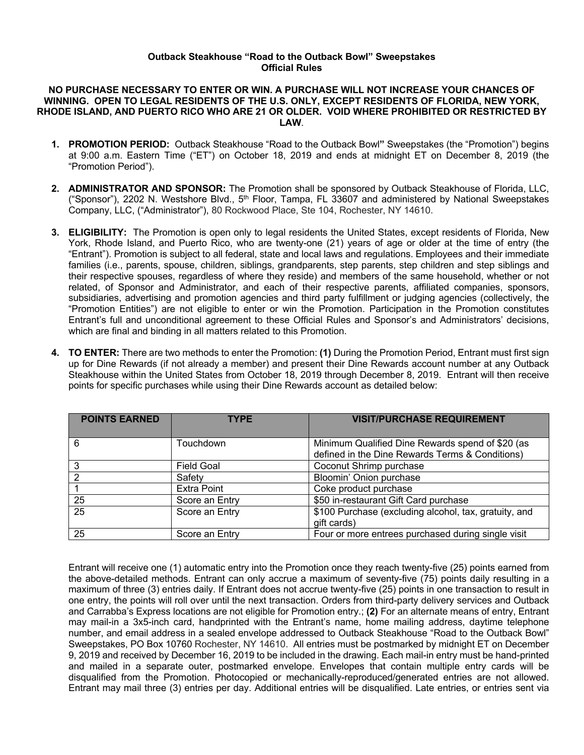## **Outback Steakhouse "Road to the Outback Bowl" Sweepstakes Official Rules**

## **NO PURCHASE NECESSARY TO ENTER OR WIN. A PURCHASE WILL NOT INCREASE YOUR CHANCES OF WINNING. OPEN TO LEGAL RESIDENTS OF THE U.S. ONLY, EXCEPT RESIDENTS OF FLORIDA, NEW YORK, RHODE ISLAND, AND PUERTO RICO WHO ARE 21 OR OLDER. VOID WHERE PROHIBITED OR RESTRICTED BY LAW**.

- **1. PROMOTION PERIOD:** Outback Steakhouse "Road to the Outback Bowl**"** Sweepstakes (the "Promotion") begins at 9:00 a.m. Eastern Time ("ET") on October 18, 2019 and ends at midnight ET on December 8, 2019 (the "Promotion Period").
- **2. ADMINISTRATOR AND SPONSOR:** The Promotion shall be sponsored by Outback Steakhouse of Florida, LLC, ("Sponsor"), 2202 N. Westshore Blvd., 5<sup>th</sup> Floor, Tampa, FL 33607 and administered by National Sweepstakes Company, LLC, ("Administrator"), 80 Rockwood Place, Ste 104, Rochester, NY 14610.
- **3. ELIGIBILITY:** The Promotion is open only to legal residents the United States, except residents of Florida, New York, Rhode Island, and Puerto Rico, who are twenty-one (21) years of age or older at the time of entry (the "Entrant"). Promotion is subject to all federal, state and local laws and regulations. Employees and their immediate families (i.e., parents, spouse, children, siblings, grandparents, step parents, step children and step siblings and their respective spouses, regardless of where they reside) and members of the same household, whether or not related, of Sponsor and Administrator, and each of their respective parents, affiliated companies, sponsors, subsidiaries, advertising and promotion agencies and third party fulfillment or judging agencies (collectively, the "Promotion Entities") are not eligible to enter or win the Promotion. Participation in the Promotion constitutes Entrant's full and unconditional agreement to these Official Rules and Sponsor's and Administrators' decisions, which are final and binding in all matters related to this Promotion.
- **4. TO ENTER:** There are two methods to enter the Promotion: **(1)** During the Promotion Period, Entrant must first sign up for Dine Rewards (if not already a member) and present their Dine Rewards account number at any Outback Steakhouse within the United States from October 18, 2019 through December 8, 2019. Entrant will then receive points for specific purchases while using their Dine Rewards account as detailed below:

| <b>POINTS EARNED</b> | <b>TYPE</b>        | <b>VISIT/PURCHASE REQUIREMENT</b>                     |
|----------------------|--------------------|-------------------------------------------------------|
|                      |                    |                                                       |
| 6                    | Touchdown          | Minimum Qualified Dine Rewards spend of \$20 (as      |
|                      |                    | defined in the Dine Rewards Terms & Conditions)       |
|                      | <b>Field Goal</b>  | Coconut Shrimp purchase                               |
| ົ                    | Safety             | Bloomin' Onion purchase                               |
|                      | <b>Extra Point</b> | Coke product purchase                                 |
| 25                   | Score an Entry     | \$50 in-restaurant Gift Card purchase                 |
| 25                   | Score an Entry     | \$100 Purchase (excluding alcohol, tax, gratuity, and |
|                      |                    | gift cards)                                           |
| 25                   | Score an Entry     | Four or more entrees purchased during single visit    |

Entrant will receive one (1) automatic entry into the Promotion once they reach twenty-five (25) points earned from the above-detailed methods. Entrant can only accrue a maximum of seventy-five (75) points daily resulting in a maximum of three (3) entries daily. If Entrant does not accrue twenty-five (25) points in one transaction to result in one entry, the points will roll over until the next transaction. Orders from third-party delivery services and Outback and Carrabba's Express locations are not eligible for Promotion entry.; **(2)** For an alternate means of entry, Entrant may mail-in a 3x5-inch card, handprinted with the Entrant's name, home mailing address, daytime telephone number, and email address in a sealed envelope addressed to Outback Steakhouse "Road to the Outback Bowl" Sweepstakes, PO Box 10760 Rochester, NY 14610. All entries must be postmarked by midnight ET on December 9, 2019 and received by December 16, 2019 to be included in the drawing. Each mail-in entry must be hand-printed and mailed in a separate outer, postmarked envelope. Envelopes that contain multiple entry cards will be disqualified from the Promotion. Photocopied or mechanically-reproduced/generated entries are not allowed. Entrant may mail three (3) entries per day. Additional entries will be disqualified. Late entries, or entries sent via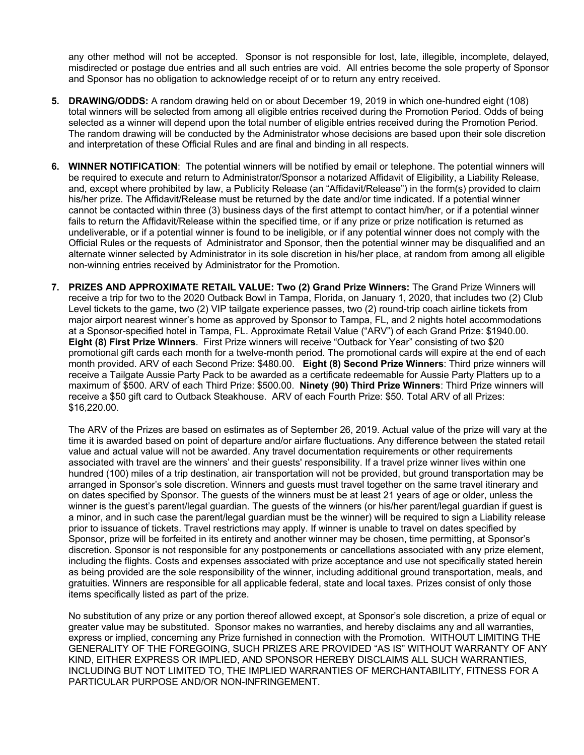any other method will not be accepted. Sponsor is not responsible for lost, late, illegible, incomplete, delayed, misdirected or postage due entries and all such entries are void. All entries become the sole property of Sponsor and Sponsor has no obligation to acknowledge receipt of or to return any entry received.

- **5. DRAWING/ODDS:** A random drawing held on or about December 19, 2019 in which one-hundred eight (108) total winners will be selected from among all eligible entries received during the Promotion Period. Odds of being selected as a winner will depend upon the total number of eligible entries received during the Promotion Period. The random drawing will be conducted by the Administrator whose decisions are based upon their sole discretion and interpretation of these Official Rules and are final and binding in all respects.
- **6. WINNER NOTIFICATION**: The potential winners will be notified by email or telephone. The potential winners will be required to execute and return to Administrator/Sponsor a notarized Affidavit of Eligibility, a Liability Release, and, except where prohibited by law, a Publicity Release (an "Affidavit/Release") in the form(s) provided to claim his/her prize. The Affidavit/Release must be returned by the date and/or time indicated. If a potential winner cannot be contacted within three (3) business days of the first attempt to contact him/her, or if a potential winner fails to return the Affidavit/Release within the specified time, or if any prize or prize notification is returned as undeliverable, or if a potential winner is found to be ineligible, or if any potential winner does not comply with the Official Rules or the requests of Administrator and Sponsor, then the potential winner may be disqualified and an alternate winner selected by Administrator in its sole discretion in his/her place, at random from among all eligible non-winning entries received by Administrator for the Promotion.
- **7. PRIZES AND APPROXIMATE RETAIL VALUE: Two (2) Grand Prize Winners:** The Grand Prize Winners will receive a trip for two to the 2020 Outback Bowl in Tampa, Florida, on January 1, 2020, that includes two (2) Club Level tickets to the game, two (2) VIP tailgate experience passes, two (2) round-trip coach airline tickets from major airport nearest winner's home as approved by Sponsor to Tampa, FL, and 2 nights hotel accommodations at a Sponsor-specified hotel in Tampa, FL. Approximate Retail Value ("ARV") of each Grand Prize: \$1940.00. **Eight (8) First Prize Winners**. First Prize winners will receive "Outback for Year" consisting of two \$20 promotional gift cards each month for a twelve-month period. The promotional cards will expire at the end of each month provided. ARV of each Second Prize: \$480.00. **Eight (8) Second Prize Winners**: Third prize winners will receive a Tailgate Aussie Party Pack to be awarded as a certificate redeemable for Aussie Party Platters up to a maximum of \$500. ARV of each Third Prize: \$500.00. **Ninety (90) Third Prize Winners**: Third Prize winners will receive a \$50 gift card to Outback Steakhouse. ARV of each Fourth Prize: \$50. Total ARV of all Prizes: \$16,220.00.

The ARV of the Prizes are based on estimates as of September 26, 2019. Actual value of the prize will vary at the time it is awarded based on point of departure and/or airfare fluctuations. Any difference between the stated retail value and actual value will not be awarded. Any travel documentation requirements or other requirements associated with travel are the winners' and their guests' responsibility. If a travel prize winner lives within one hundred (100) miles of a trip destination, air transportation will not be provided, but ground transportation may be arranged in Sponsor's sole discretion. Winners and guests must travel together on the same travel itinerary and on dates specified by Sponsor. The guests of the winners must be at least 21 years of age or older, unless the winner is the guest's parent/legal guardian. The guests of the winners (or his/her parent/legal guardian if guest is a minor, and in such case the parent/legal guardian must be the winner) will be required to sign a Liability release prior to issuance of tickets. Travel restrictions may apply. If winner is unable to travel on dates specified by Sponsor, prize will be forfeited in its entirety and another winner may be chosen, time permitting, at Sponsor's discretion. Sponsor is not responsible for any postponements or cancellations associated with any prize element, including the flights. Costs and expenses associated with prize acceptance and use not specifically stated herein as being provided are the sole responsibility of the winner, including additional ground transportation, meals, and gratuities. Winners are responsible for all applicable federal, state and local taxes. Prizes consist of only those items specifically listed as part of the prize.

No substitution of any prize or any portion thereof allowed except, at Sponsor's sole discretion, a prize of equal or greater value may be substituted. Sponsor makes no warranties, and hereby disclaims any and all warranties, express or implied, concerning any Prize furnished in connection with the Promotion. WITHOUT LIMITING THE GENERALITY OF THE FOREGOING, SUCH PRIZES ARE PROVIDED "AS IS" WITHOUT WARRANTY OF ANY KIND, EITHER EXPRESS OR IMPLIED, AND SPONSOR HEREBY DISCLAIMS ALL SUCH WARRANTIES, INCLUDING BUT NOT LIMITED TO, THE IMPLIED WARRANTIES OF MERCHANTABILITY, FITNESS FOR A PARTICULAR PURPOSE AND/OR NON-INFRINGEMENT.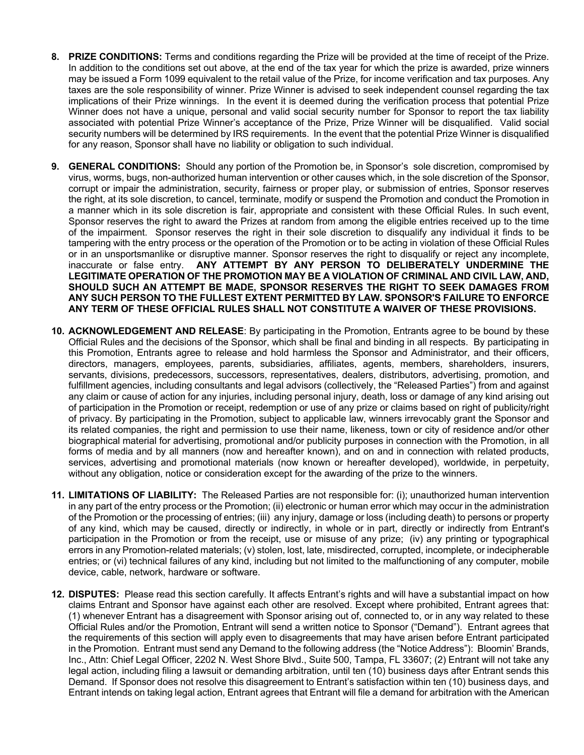- **8. PRIZE CONDITIONS:** Terms and conditions regarding the Prize will be provided at the time of receipt of the Prize. In addition to the conditions set out above, at the end of the tax year for which the prize is awarded, prize winners may be issued a Form 1099 equivalent to the retail value of the Prize, for income verification and tax purposes. Any taxes are the sole responsibility of winner. Prize Winner is advised to seek independent counsel regarding the tax implications of their Prize winnings. In the event it is deemed during the verification process that potential Prize Winner does not have a unique, personal and valid social security number for Sponsor to report the tax liability associated with potential Prize Winner's acceptance of the Prize, Prize Winner will be disqualified. Valid social security numbers will be determined by IRS requirements.In the event that the potential Prize Winner is disqualified for any reason, Sponsor shall have no liability or obligation to such individual.
- **9. GENERAL CONDITIONS:** Should any portion of the Promotion be, in Sponsor's sole discretion, compromised by virus, worms, bugs, non-authorized human intervention or other causes which, in the sole discretion of the Sponsor, corrupt or impair the administration, security, fairness or proper play, or submission of entries, Sponsor reserves the right, at its sole discretion, to cancel, terminate, modify or suspend the Promotion and conduct the Promotion in a manner which in its sole discretion is fair, appropriate and consistent with these Official Rules. In such event, Sponsor reserves the right to award the Prizes at random from among the eligible entries received up to the time of the impairment. Sponsor reserves the right in their sole discretion to disqualify any individual it finds to be tampering with the entry process or the operation of the Promotion or to be acting in violation of these Official Rules or in an unsportsmanlike or disruptive manner. Sponsor reserves the right to disqualify or reject any incomplete, inaccurate or false entry. **ANY ATTEMPT BY ANY PERSON TO DELIBERATELY UNDERMINE THE LEGITIMATE OPERATION OF THE PROMOTION MAY BE A VIOLATION OF CRIMINAL AND CIVIL LAW, AND, SHOULD SUCH AN ATTEMPT BE MADE, SPONSOR RESERVES THE RIGHT TO SEEK DAMAGES FROM ANY SUCH PERSON TO THE FULLEST EXTENT PERMITTED BY LAW. SPONSOR'S FAILURE TO ENFORCE ANY TERM OF THESE OFFICIAL RULES SHALL NOT CONSTITUTE A WAIVER OF THESE PROVISIONS.**
- **10. ACKNOWLEDGEMENT AND RELEASE**: By participating in the Promotion, Entrants agree to be bound by these Official Rules and the decisions of the Sponsor, which shall be final and binding in all respects. By participating in this Promotion, Entrants agree to release and hold harmless the Sponsor and Administrator, and their officers, directors, managers, employees, parents, subsidiaries, affiliates, agents, members, shareholders, insurers, servants, divisions, predecessors, successors, representatives, dealers, distributors, advertising, promotion, and fulfillment agencies, including consultants and legal advisors (collectively, the "Released Parties") from and against any claim or cause of action for any injuries, including personal injury, death, loss or damage of any kind arising out of participation in the Promotion or receipt, redemption or use of any prize or claims based on right of publicity/right of privacy. By participating in the Promotion, subject to applicable law, winners irrevocably grant the Sponsor and its related companies, the right and permission to use their name, likeness, town or city of residence and/or other biographical material for advertising, promotional and/or publicity purposes in connection with the Promotion, in all forms of media and by all manners (now and hereafter known), and on and in connection with related products, services, advertising and promotional materials (now known or hereafter developed), worldwide, in perpetuity, without any obligation, notice or consideration except for the awarding of the prize to the winners.
- **11. LIMITATIONS OF LIABILITY:** The Released Parties are not responsible for: (i); unauthorized human intervention in any part of the entry process or the Promotion; (ii) electronic or human error which may occur in the administration of the Promotion or the processing of entries; (iii) any injury, damage or loss (including death) to persons or property of any kind, which may be caused, directly or indirectly, in whole or in part, directly or indirectly from Entrant's participation in the Promotion or from the receipt, use or misuse of any prize; (iv) any printing or typographical errors in any Promotion-related materials; (v) stolen, lost, late, misdirected, corrupted, incomplete, or indecipherable entries; or (vi) technical failures of any kind, including but not limited to the malfunctioning of any computer, mobile device, cable, network, hardware or software.
- **12. DISPUTES:** Please read this section carefully. It affects Entrant's rights and will have a substantial impact on how claims Entrant and Sponsor have against each other are resolved. Except where prohibited, Entrant agrees that: (1) whenever Entrant has a disagreement with Sponsor arising out of, connected to, or in any way related to these Official Rules and/or the Promotion, Entrant will send a written notice to Sponsor ("Demand"). Entrant agrees that the requirements of this section will apply even to disagreements that may have arisen before Entrant participated in the Promotion. Entrant must send any Demand to the following address (the "Notice Address"): Bloomin' Brands, Inc., Attn: Chief Legal Officer, 2202 N. West Shore Blvd., Suite 500, Tampa, FL 33607; (2) Entrant will not take any legal action, including filing a lawsuit or demanding arbitration, until ten (10) business days after Entrant sends this Demand. If Sponsor does not resolve this disagreement to Entrant's satisfaction within ten (10) business days, and Entrant intends on taking legal action, Entrant agrees that Entrant will file a demand for arbitration with the American